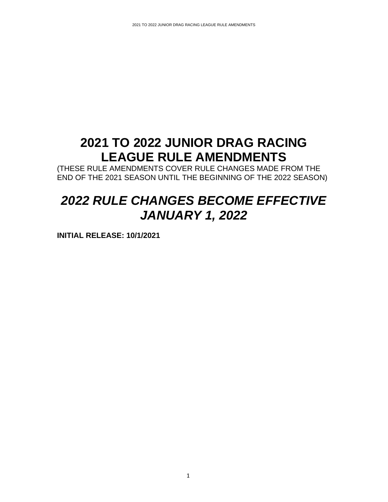# **2021 TO 2022 JUNIOR DRAG RACING LEAGUE RULE AMENDMENTS**

(THESE RULE AMENDMENTS COVER RULE CHANGES MADE FROM THE END OF THE 2021 SEASON UNTIL THE BEGINNING OF THE 2022 SEASON)

# *2022 RULE CHANGES BECOME EFFECTIVE JANUARY 1, 2022*

**INITIAL RELEASE: 10/1/2021**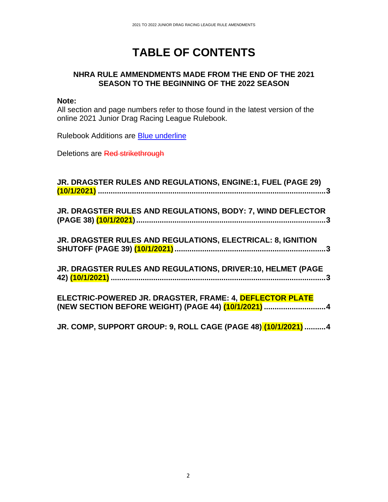# **TABLE OF CONTENTS**

## **NHRA RULE AMMENDMENTS MADE FROM THE END OF THE 2021 SEASON TO THE BEGINNING OF THE 2022 SEASON**

#### **Note:**

All section and page numbers refer to those found in the latest version of the online 2021 Junior Drag Racing League Rulebook.

Rulebook Additions are Blue underline

Deletions are Red strikethrough

| JR. DRAGSTER RULES AND REGULATIONS, ENGINE:1, FUEL (PAGE 29)                                                    |
|-----------------------------------------------------------------------------------------------------------------|
| JR. DRAGSTER RULES AND REGULATIONS, BODY: 7, WIND DEFLECTOR                                                     |
| JR. DRAGSTER RULES AND REGULATIONS, ELECTRICAL: 8, IGNITION                                                     |
| JR. DRAGSTER RULES AND REGULATIONS, DRIVER:10, HELMET (PAGE                                                     |
| ELECTRIC-POWERED JR. DRAGSTER, FRAME: 4, DEFLECTOR PLATE<br>(NEW SECTION BEFORE WEIGHT) (PAGE 44) (10/1/2021) 4 |
|                                                                                                                 |

**JR. COMP, SUPPORT GROUP: 9, ROLL CAGE (PAGE 48) (10/1/2021) ..........4**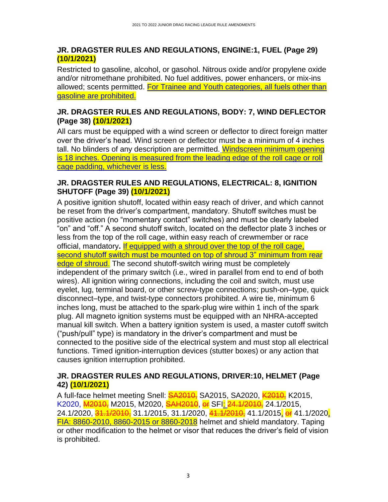## **JR. DRAGSTER RULES AND REGULATIONS, ENGINE:1, FUEL (Page 29) (10/1/2021)**

Restricted to gasoline, alcohol, or gasohol. Nitrous oxide and/or propylene oxide and/or nitromethane prohibited. No fuel additives, power enhancers, or mix-ins allowed; scents permitted. For Trainee and Youth categories, all fuels other than gasoline are prohibited.

## **JR. DRAGSTER RULES AND REGULATIONS, BODY: 7, WIND DEFLECTOR (Page 38) (10/1/2021)**

All cars must be equipped with a wind screen or deflector to direct foreign matter over the driver's head. Wind screen or deflector must be a minimum of 4 inches tall. No blinders of any description are permitted. Windscreen minimum opening is 18 inches. Opening is measured from the leading edge of the roll cage or roll cage padding, whichever is less.

## **JR. DRAGSTER RULES AND REGULATIONS, ELECTRICAL: 8, IGNITION SHUTOFF (Page 39) (10/1/2021)**

A positive ignition shutoff, located within easy reach of driver, and which cannot be reset from the driver's compartment, mandatory. Shutoff switches must be positive action (no "momentary contact" switches) and must be clearly labeled "on" and "off." A second shutoff switch, located on the deflector plate 3 inches or less from the top of the roll cage, within easy reach of crewmember or race official, mandatory**.** If equipped with a shroud over the top of the roll cage, second shutoff switch must be mounted on top of shroud 3" minimum from rear edge of shroud. The second shutoff-switch wiring must be completely independent of the primary switch (i.e., wired in parallel from end to end of both wires). All ignition wiring connections, including the coil and switch, must use eyelet, lug, terminal board, or other screw-type connections; push-on–type, quick disconnect–type, and twist-type connectors prohibited. A wire tie, minimum 6 inches long, must be attached to the spark-plug wire within 1 inch of the spark plug. All magneto ignition systems must be equipped with an NHRA-accepted manual kill switch. When a battery ignition system is used, a master cutoff switch ("push/pull" type) is mandatory in the driver's compartment and must be connected to the positive side of the electrical system and must stop all electrical functions. Timed ignition-interruption devices (stutter boxes) or any action that causes ignition interruption prohibited.

## **JR. DRAGSTER RULES AND REGULATIONS, DRIVER:10, HELMET (Page 42) (10/1/2021)**

A full-face helmet meeting Snell: **SA2010,** SA2015, SA2020, K2010, K2015, K2020, M2010, M2015, M2020, SAH2010, or SFI: 24.1/2010, 24.1/2015, 24.1/2020, 31.1/2010, 31.1/2015, 31.1/2020, 41.1/2010, 41.1/2015, or 41.1/2020, FIA: 8860-2010, 8860-2015 or 8860-2018 helmet and shield mandatory. Taping or other modification to the helmet or visor that reduces the driver's field of vision is prohibited.